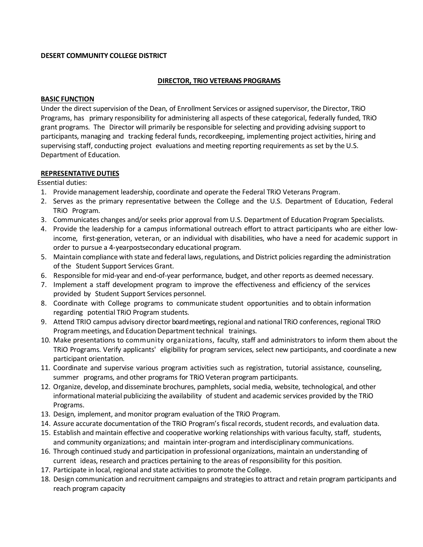# **DESERT COMMUNITY COLLEGE DISTRICT**

# **DIRECTOR, TRiO VETERANS PROGRAMS**

## **BASIC FUNCTION**

Under the direct supervision of the Dean, of Enrollment Services or assigned supervisor, the Director, TRiO Programs, has primary responsibility for administering all aspects of these categorical, federally funded, TRiO grant programs. The Director will primarily be responsible for selecting and providing advising support to participants, managing and tracking federal funds, recordkeeping, implementing project activities, hiring and supervising staff, conducting project evaluations and meeting reporting requirements as set by the U.S. Department of Education.

## **REPRESENTATIVE DUTIES**

Essential duties:

- 1. Provide management leadership, coordinate and operate the Federal TRiO Veterans Program.
- 2. Serves as the primary representative between the College and the U.S. Department of Education, Federal TRiO Program.
- 3. Communicates changes and/or seeks prior approval from U.S. Department of Education Program Specialists.
- 4. Provide the leadership for a campus informational outreach effort to attract participants who are either lowincome, first-generation, veteran, or an individual with disabilities, who have a need for academic support in order to pursue a 4-yearpostsecondary educational program.
- 5. Maintain compliance with state and federal laws, regulations, and District policies regarding the administration of the Student Support Services Grant.
- 6. Responsible for mid-year and end-of-year performance, budget, and other reports as deemed necessary.
- 7. Implement a staff development program to improve the effectiveness and efficiency of the services provided by Student Support Services personnel.
- 8. Coordinate with College programs to communicate student opportunities and to obtain information regarding potential TRiO Program students.
- 9. Attend TRIO campus advisory director board meetings, regional and national TRiO conferences,regional TRiO Program meetings, and Education Department technical trainings.
- 10. Make presentations to community organizations, faculty, staff and administrators to inform them about the TRiO Programs. Verify applicants' eligibility for program services, select new participants, and coordinate a new participant orientation.
- 11. Coordinate and supervise various program activities such as registration, tutorial assistance, counseling, summer programs, and other programs for TRiO Veteran program participants.
- 12. Organize, develop, and disseminate brochures, pamphlets, social media, website, technological, and other informational material publicizing the availability of student and academic services provided by the TRiO Programs.
- 13. Design, implement, and monitor program evaluation of the TRiO Program.
- 14. Assure accurate documentation of the TRiO Program's fiscal records, student records, and evaluation data.
- 15. Establish and maintain effective and cooperative working relationships with various faculty, staff, students, and community organizations; and maintain inter-program and interdisciplinary communications.
- 16. Through continued study and participation in professional organizations, maintain an understanding of current ideas, research and practices pertaining to the areas of responsibility for this position.
- 17. Participate in local, regional and state activities to promote the College.
- 18. Design communication and recruitment campaigns and strategies to attract and retain program participants and reach program capacity